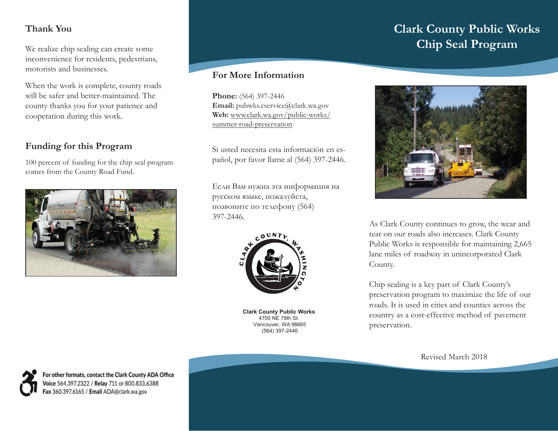# **Thank You**

We realize chip sealing can create some inconvenience for residents, pedestrians, motorists and businesses.

When the work is complete, county roads will be safer and better-maintained. The county thanks you for your patience and cooperation during this work.

# **Funding for this Program**

100 percent of funding for the chip seal program comes from the County Road Fund.



## **For More Information**

**Phone:** (564) 397-2446 **Email:** pubwks.cservice@clark.wa.gov **Web:** www.clark.wa.gov/public-works/ summer-road-preservation

Si usted necesita esta información en español, por favor llame al (564) 397-2446.

Если Вам нужна эта информация на русском языке, пожалуйста, позвоните по телефону (564) 397-2446.



**Clark County Public Works** 4700 NE 78th St. Vancouver, WA 98665 (564) 397-2446

# **Clark County Public Works Chip Seal Program**



As Clark County continues to grow, the wear and tear on our roads also increases. Clark County Public Works is responsible for maintaining 2,665 lane miles of roadway in unincorporated Clark County.

Chip sealing is a key part of Clark County's preservation program to maximize the life of our roads. It is used in cities and counties across the country as a cost-effective method of pavement preservation.

Revised March 2018